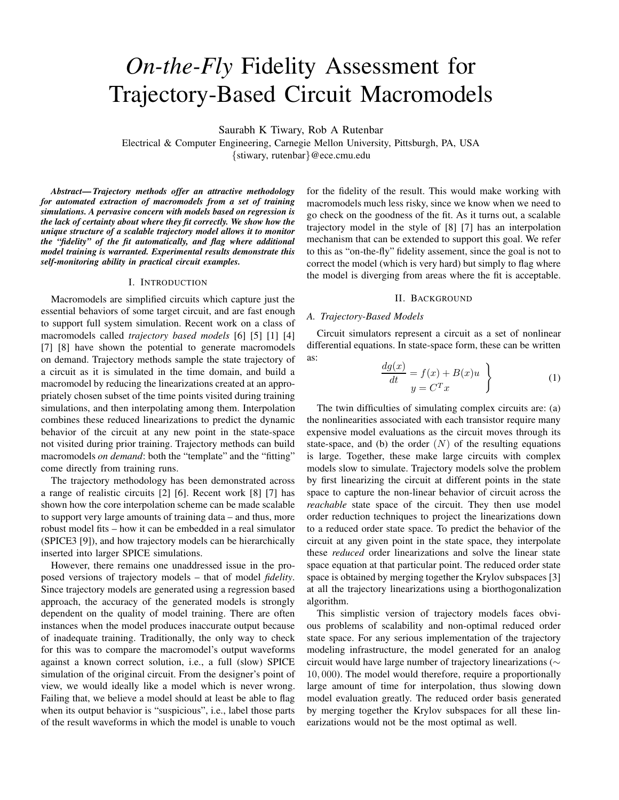# *On-the-Fly* Fidelity Assessment for Trajectory-Based Circuit Macromodels

Saurabh K Tiwary, Rob A Rutenbar

Electrical & Computer Engineering, Carnegie Mellon University, Pittsburgh, PA, USA {stiwary, rutenbar}@ece.cmu.edu

*Abstract***—** *Trajectory methods offer an attractive methodology for automated extraction of macromodels from a set of training simulations. A pervasive concern with models based on regression is the lack of certainty about where they fit correctly. We show how the unique structure of a scalable trajectory model allows it to monitor the "fidelity" of the fit automatically, and flag where additional model training is warranted. Experimental results demonstrate this self-monitoring ability in practical circuit examples.*

## I. INTRODUCTION

Macromodels are simplified circuits which capture just the essential behaviors of some target circuit, and are fast enough to support full system simulation. Recent work on a class of macromodels called *trajectory based models* [6] [5] [1] [4] [7] [8] have shown the potential to generate macromodels on demand. Trajectory methods sample the state trajectory of a circuit as it is simulated in the time domain, and build a macromodel by reducing the linearizations created at an appropriately chosen subset of the time points visited during training simulations, and then interpolating among them. Interpolation combines these reduced linearizations to predict the dynamic behavior of the circuit at any new point in the state-space not visited during prior training. Trajectory methods can build macromodels *on demand*: both the "template" and the "fitting" come directly from training runs.

The trajectory methodology has been demonstrated across a range of realistic circuits [2] [6]. Recent work [8] [7] has shown how the core interpolation scheme can be made scalable to support very large amounts of training data – and thus, more robust model fits – how it can be embedded in a real simulator (SPICE3 [9]), and how trajectory models can be hierarchically inserted into larger SPICE simulations.

However, there remains one unaddressed issue in the proposed versions of trajectory models – that of model *fidelity*. Since trajectory models are generated using a regression based approach, the accuracy of the generated models is strongly dependent on the quality of model training. There are often instances when the model produces inaccurate output because of inadequate training. Traditionally, the only way to check for this was to compare the macromodel's output waveforms against a known correct solution, i.e., a full (slow) SPICE simulation of the original circuit. From the designer's point of view, we would ideally like a model which is never wrong. Failing that, we believe a model should at least be able to flag when its output behavior is "suspicious", i.e., label those parts of the result waveforms in which the model is unable to vouch

for the fidelity of the result. This would make working with macromodels much less risky, since we know when we need to go check on the goodness of the fit. As it turns out, a scalable trajectory model in the style of [8] [7] has an interpolation mechanism that can be extended to support this goal. We refer to this as "on-the-fly" fidelity assement, since the goal is not to correct the model (which is very hard) but simply to flag where the model is diverging from areas where the fit is acceptable.

# II. BACKGROUND

## *A. Trajectory-Based Models*

Circuit simulators represent a circuit as a set of nonlinear differential equations. In state-space form, these can be written as:

$$
\frac{dg(x)}{dt} = f(x) + B(x)u
$$
  
y = C<sup>T</sup>x (1)

The twin difficulties of simulating complex circuits are: (a) the nonlinearities associated with each transistor require many expensive model evaluations as the circuit moves through its state-space, and (b) the order  $(N)$  of the resulting equations is large. Together, these make large circuits with complex models slow to simulate. Trajectory models solve the problem by first linearizing the circuit at different points in the state space to capture the non-linear behavior of circuit across the *reachable* state space of the circuit. They then use model order reduction techniques to project the linearizations down to a reduced order state space. To predict the behavior of the circuit at any given point in the state space, they interpolate these *reduced* order linearizations and solve the linear state space equation at that particular point. The reduced order state space is obtained by merging together the Krylov subspaces [3] at all the trajectory linearizations using a biorthogonalization algorithm.

This simplistic version of trajectory models faces obvious problems of scalability and non-optimal reduced order state space. For any serious implementation of the trajectory modeling infrastructure, the model generated for an analog circuit would have large number of trajectory linearizations (∼ 10, 000). The model would therefore, require a proportionally large amount of time for interpolation, thus slowing down model evaluation greatly. The reduced order basis generated by merging together the Krylov subspaces for all these linearizations would not be the most optimal as well.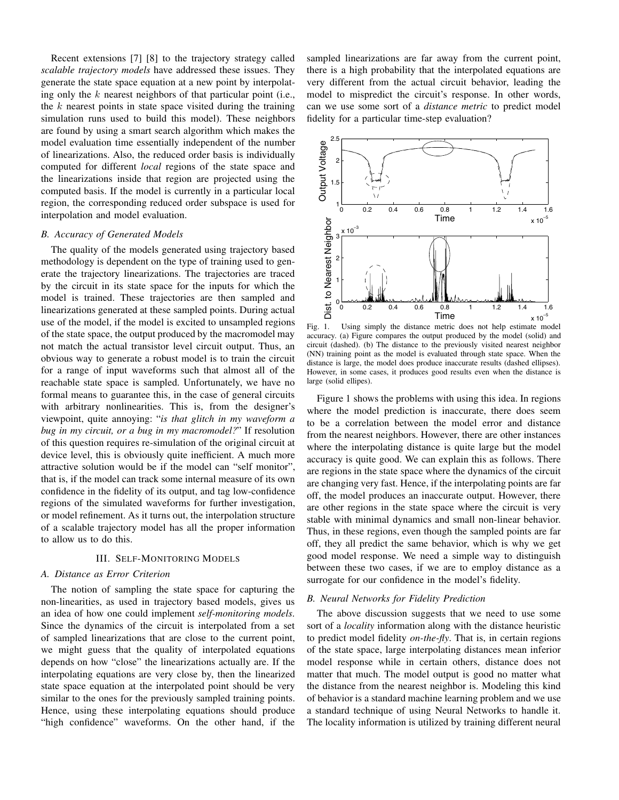Recent extensions [7] [8] to the trajectory strategy called *scalable trajectory models* have addressed these issues. They generate the state space equation at a new point by interpolating only the  $k$  nearest neighbors of that particular point (i.e., the  $k$  nearest points in state space visited during the training simulation runs used to build this model). These neighbors are found by using a smart search algorithm which makes the model evaluation time essentially independent of the number of linearizations. Also, the reduced order basis is individually computed for different *local* regions of the state space and the linearizations inside that region are projected using the computed basis. If the model is currently in a particular local region, the corresponding reduced order subspace is used for interpolation and model evaluation.

#### *B. Accuracy of Generated Models*

The quality of the models generated using trajectory based methodology is dependent on the type of training used to generate the trajectory linearizations. The trajectories are traced by the circuit in its state space for the inputs for which the model is trained. These trajectories are then sampled and linearizations generated at these sampled points. During actual use of the model, if the model is excited to unsampled regions of the state space, the output produced by the macromodel may not match the actual transistor level circuit output. Thus, an obvious way to generate a robust model is to train the circuit for a range of input waveforms such that almost all of the reachable state space is sampled. Unfortunately, we have no formal means to guarantee this, in the case of general circuits with arbitrary nonlinearities. This is, from the designer's viewpoint, quite annoying: "*is that glitch in my waveform a bug in my circuit, or a bug in my macromodel?*" If resolution of this question requires re-simulation of the original circuit at device level, this is obviously quite inefficient. A much more attractive solution would be if the model can "self monitor", that is, if the model can track some internal measure of its own confidence in the fidelity of its output, and tag low-confidence regions of the simulated waveforms for further investigation, or model refinement. As it turns out, the interpolation structure of a scalable trajectory model has all the proper information to allow us to do this.

#### III. SELF-MONITORING MODELS

#### *A. Distance as Error Criterion*

The notion of sampling the state space for capturing the non-linearities, as used in trajectory based models, gives us an idea of how one could implement *self-monitoring models*. Since the dynamics of the circuit is interpolated from a set of sampled linearizations that are close to the current point, we might guess that the quality of interpolated equations depends on how "close" the linearizations actually are. If the interpolating equations are very close by, then the linearized state space equation at the interpolated point should be very similar to the ones for the previously sampled training points. Hence, using these interpolating equations should produce "high confidence" waveforms. On the other hand, if the

sampled linearizations are far away from the current point, there is a high probability that the interpolated equations are very different from the actual circuit behavior, leading the model to mispredict the circuit's response. In other words, can we use some sort of a *distance metric* to predict model fidelity for a particular time-step evaluation?



Fig. 1. Using simply the distance metric does not help estimate model accuracy. (a) Figure compares the output produced by the model (solid) and circuit (dashed). (b) The distance to the previously visited nearest neighbor (NN) training point as the model is evaluated through state space. When the distance is large, the model does produce inaccurate results (dashed ellipses). However, in some cases, it produces good results even when the distance is large (solid ellipes).

Figure 1 shows the problems with using this idea. In regions where the model prediction is inaccurate, there does seem to be a correlation between the model error and distance from the nearest neighbors. However, there are other instances where the interpolating distance is quite large but the model accuracy is quite good. We can explain this as follows. There are regions in the state space where the dynamics of the circuit are changing very fast. Hence, if the interpolating points are far off, the model produces an inaccurate output. However, there are other regions in the state space where the circuit is very stable with minimal dynamics and small non-linear behavior. Thus, in these regions, even though the sampled points are far off, they all predict the same behavior, which is why we get good model response. We need a simple way to distinguish between these two cases, if we are to employ distance as a surrogate for our confidence in the model's fidelity.

#### *B. Neural Networks for Fidelity Prediction*

The above discussion suggests that we need to use some sort of a *locality* information along with the distance heuristic to predict model fidelity *on-the-fly*. That is, in certain regions of the state space, large interpolating distances mean inferior model response while in certain others, distance does not matter that much. The model output is good no matter what the distance from the nearest neighbor is. Modeling this kind of behavior is a standard machine learning problem and we use a standard technique of using Neural Networks to handle it. The locality information is utilized by training different neural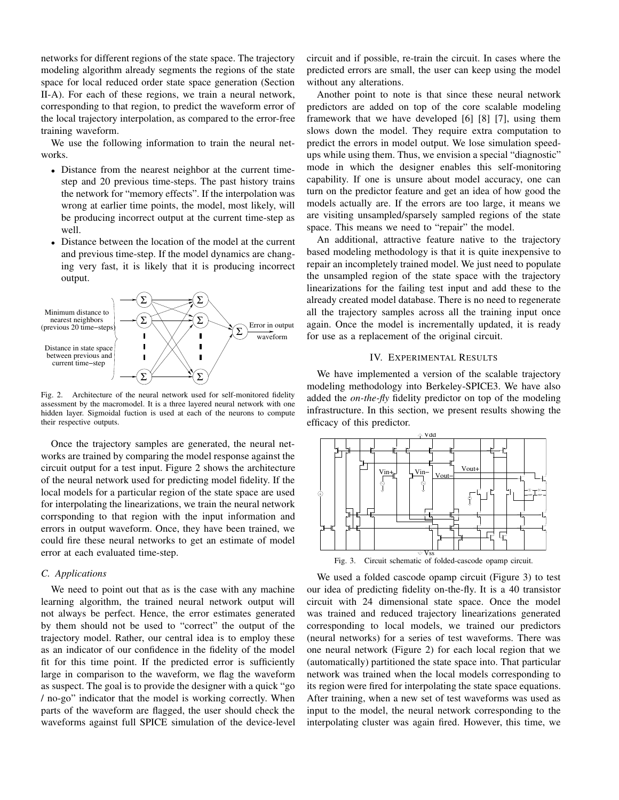networks for different regions of the state space. The trajectory modeling algorithm already segments the regions of the state space for local reduced order state space generation (Section II-A). For each of these regions, we train a neural network, corresponding to that region, to predict the waveform error of the local trajectory interpolation, as compared to the error-free training waveform.

We use the following information to train the neural networks.

- Distance from the nearest neighbor at the current timestep and 20 previous time-steps. The past history trains the network for "memory effects". If the interpolation was wrong at earlier time points, the model, most likely, will be producing incorrect output at the current time-step as well.
- Distance between the location of the model at the current and previous time-step. If the model dynamics are changing very fast, it is likely that it is producing incorrect output.



Fig. 2. Architecture of the neural network used for self-monitored fidelity assessment by the macromodel. It is a three layered neural network with one hidden layer. Sigmoidal fuction is used at each of the neurons to compute their respective outputs.

Once the trajectory samples are generated, the neural networks are trained by comparing the model response against the circuit output for a test input. Figure 2 shows the architecture of the neural network used for predicting model fidelity. If the local models for a particular region of the state space are used for interpolating the linearizations, we train the neural network corrsponding to that region with the input information and errors in output waveform. Once, they have been trained, we could fire these neural networks to get an estimate of model error at each evaluated time-step.

# *C. Applications*

We need to point out that as is the case with any machine learning algorithm, the trained neural network output will not always be perfect. Hence, the error estimates generated by them should not be used to "correct" the output of the trajectory model. Rather, our central idea is to employ these as an indicator of our confidence in the fidelity of the model fit for this time point. If the predicted error is sufficiently large in comparison to the waveform, we flag the waveform as suspect. The goal is to provide the designer with a quick "go / no-go" indicator that the model is working correctly. When parts of the waveform are flagged, the user should check the waveforms against full SPICE simulation of the device-level circuit and if possible, re-train the circuit. In cases where the predicted errors are small, the user can keep using the model without any alterations.

Another point to note is that since these neural network predictors are added on top of the core scalable modeling framework that we have developed [6] [8] [7], using them slows down the model. They require extra computation to predict the errors in model output. We lose simulation speedups while using them. Thus, we envision a special "diagnostic" mode in which the designer enables this self-monitoring capability. If one is unsure about model accuracy, one can turn on the predictor feature and get an idea of how good the models actually are. If the errors are too large, it means we are visiting unsampled/sparsely sampled regions of the state space. This means we need to "repair" the model.

An additional, attractive feature native to the trajectory based modeling methodology is that it is quite inexpensive to repair an incompletely trained model. We just need to populate the unsampled region of the state space with the trajectory linearizations for the failing test input and add these to the already created model database. There is no need to regenerate all the trajectory samples across all the training input once again. Once the model is incrementally updated, it is ready for use as a replacement of the original circuit.

#### IV. EXPERIMENTAL RESULTS

We have implemented a version of the scalable trajectory modeling methodology into Berkeley-SPICE3. We have also added the *on-the-fly* fidelity predictor on top of the modeling infrastructure. In this section, we present results showing the efficacy of this predictor.



We used a folded cascode opamp circuit (Figure 3) to test our idea of predicting fidelity on-the-fly. It is a 40 transistor circuit with 24 dimensional state space. Once the model was trained and reduced trajectory linearizations generated corresponding to local models, we trained our predictors (neural networks) for a series of test waveforms. There was one neural network (Figure 2) for each local region that we (automatically) partitioned the state space into. That particular network was trained when the local models corresponding to its region were fired for interpolating the state space equations. After training, when a new set of test waveforms was used as input to the model, the neural network corresponding to the interpolating cluster was again fired. However, this time, we